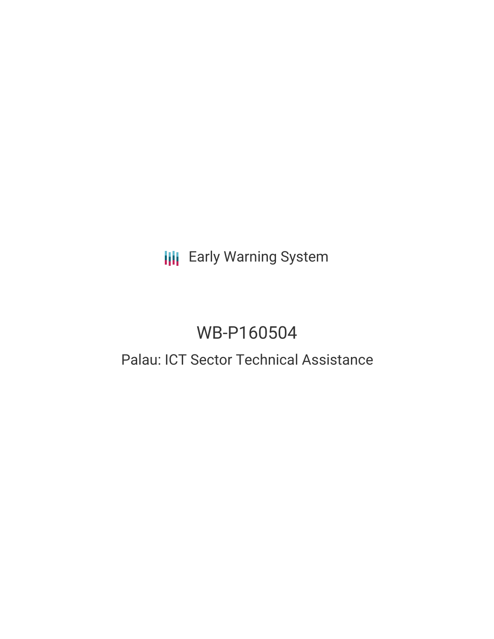# **III** Early Warning System

# WB-P160504

# Palau: ICT Sector Technical Assistance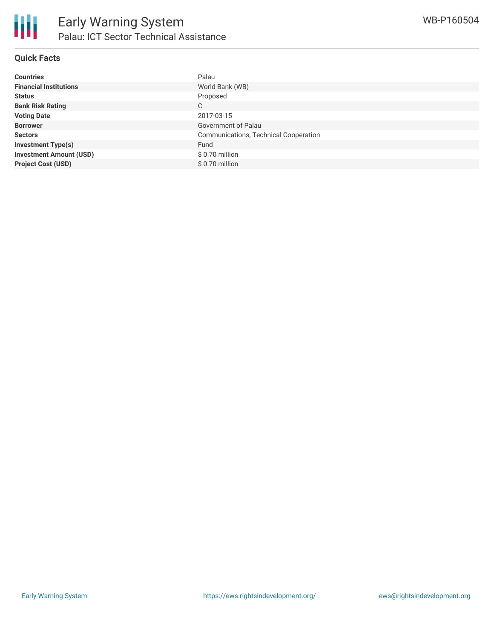

### **Quick Facts**

| <b>Countries</b>               | Palau                                        |
|--------------------------------|----------------------------------------------|
| <b>Financial Institutions</b>  | World Bank (WB)                              |
| <b>Status</b>                  | Proposed                                     |
| <b>Bank Risk Rating</b>        | C                                            |
| <b>Voting Date</b>             | 2017-03-15                                   |
| <b>Borrower</b>                | Government of Palau                          |
| <b>Sectors</b>                 | <b>Communications, Technical Cooperation</b> |
| <b>Investment Type(s)</b>      | Fund                                         |
| <b>Investment Amount (USD)</b> | \$0.70 million                               |
| <b>Project Cost (USD)</b>      | $$0.70$ million                              |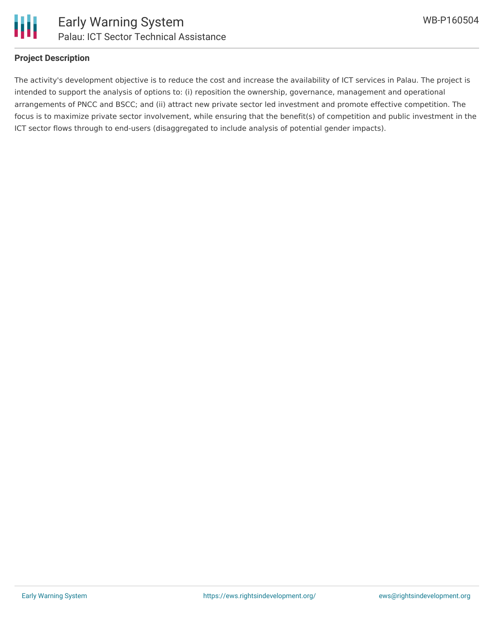

#### **Project Description**

The activity's development objective is to reduce the cost and increase the availability of ICT services in Palau. The project is intended to support the analysis of options to: (i) reposition the ownership, governance, management and operational arrangements of PNCC and BSCC; and (ii) attract new private sector led investment and promote effective competition. The focus is to maximize private sector involvement, while ensuring that the benefit(s) of competition and public investment in the ICT sector flows through to end-users (disaggregated to include analysis of potential gender impacts).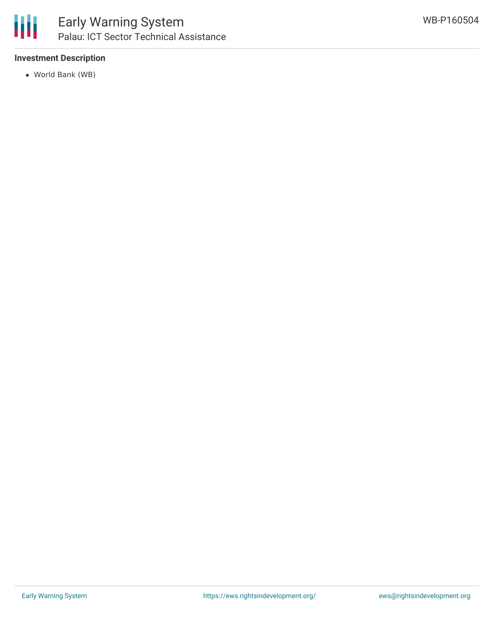

## **Investment Description**

World Bank (WB)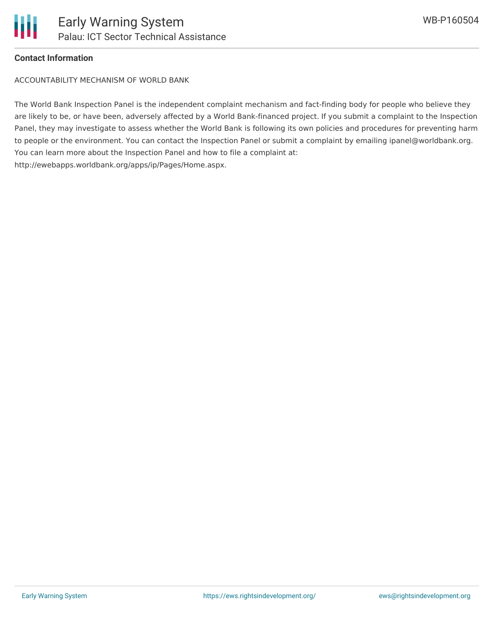

#### **Contact Information**

ACCOUNTABILITY MECHANISM OF WORLD BANK

The World Bank Inspection Panel is the independent complaint mechanism and fact-finding body for people who believe they are likely to be, or have been, adversely affected by a World Bank-financed project. If you submit a complaint to the Inspection Panel, they may investigate to assess whether the World Bank is following its own policies and procedures for preventing harm to people or the environment. You can contact the Inspection Panel or submit a complaint by emailing ipanel@worldbank.org. You can learn more about the Inspection Panel and how to file a complaint at: http://ewebapps.worldbank.org/apps/ip/Pages/Home.aspx.